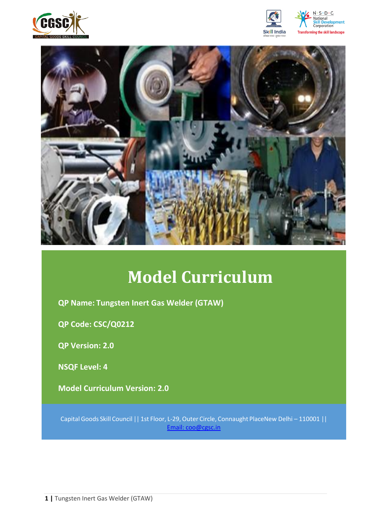







# **Model Curriculum**

**QP Name: Tungsten Inert Gas Welder (GTAW)**

**QP Code: CSC/Q0212**

**QP Version: 2.0**

**NSQF Level: 4**

**Model Curriculum Version: 2.0** 

Capital Goods Skill Council || 1st Floor, L-29,Outer Circle, Connaught PlaceNew Delhi – 110001 || Email: [coo@cgsc.in](mailto:Email:%20coo@cgsc.in)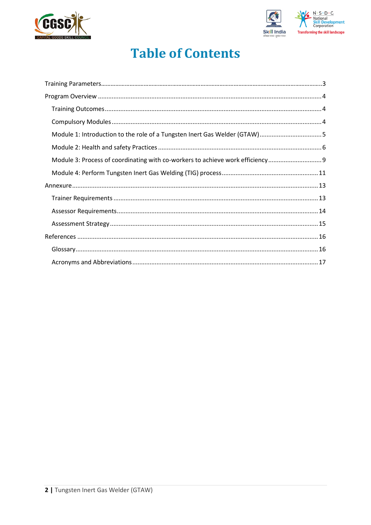



## **Table of Contents**

| Module 1: Introduction to the role of a Tungsten Inert Gas Welder (GTAW)5    |  |
|------------------------------------------------------------------------------|--|
|                                                                              |  |
| Module 3: Process of coordinating with co-workers to achieve work efficiency |  |
|                                                                              |  |
|                                                                              |  |
|                                                                              |  |
|                                                                              |  |
|                                                                              |  |
|                                                                              |  |
|                                                                              |  |
|                                                                              |  |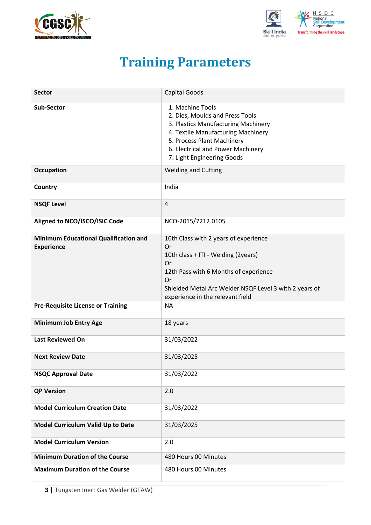<span id="page-2-0"></span>



## **Training Parameters**

| <b>Sector</b>                                                     | <b>Capital Goods</b>                                                                                                                                                                                                                  |
|-------------------------------------------------------------------|---------------------------------------------------------------------------------------------------------------------------------------------------------------------------------------------------------------------------------------|
| <b>Sub-Sector</b>                                                 | 1. Machine Tools<br>2. Dies, Moulds and Press Tools<br>3. Plastics Manufacturing Machinery<br>4. Textile Manufacturing Machinery<br>5. Process Plant Machinery<br>6. Electrical and Power Machinery<br>7. Light Engineering Goods     |
| <b>Occupation</b>                                                 | <b>Welding and Cutting</b>                                                                                                                                                                                                            |
| Country                                                           | India                                                                                                                                                                                                                                 |
| <b>NSQF Level</b>                                                 | $\overline{\mathbf{4}}$                                                                                                                                                                                                               |
| Aligned to NCO/ISCO/ISIC Code                                     | NCO-2015/7212.0105                                                                                                                                                                                                                    |
| <b>Minimum Educational Qualification and</b><br><b>Experience</b> | 10th Class with 2 years of experience<br>Or<br>10th class + ITI - Welding (2years)<br>Or<br>12th Pass with 6 Months of experience<br>Or<br>Shielded Metal Arc Welder NSQF Level 3 with 2 years of<br>experience in the relevant field |
| <b>Pre-Requisite License or Training</b>                          | <b>NA</b>                                                                                                                                                                                                                             |
| <b>Minimum Job Entry Age</b>                                      | 18 years                                                                                                                                                                                                                              |
| <b>Last Reviewed On</b>                                           | 31/03/2022                                                                                                                                                                                                                            |
| <b>Next Review Date</b>                                           | 31/03/2025                                                                                                                                                                                                                            |
| <b>NSQC Approval Date</b>                                         | 31/03/2022                                                                                                                                                                                                                            |
| <b>QP Version</b>                                                 | 2.0                                                                                                                                                                                                                                   |
| <b>Model Curriculum Creation Date</b>                             | 31/03/2022                                                                                                                                                                                                                            |
| Model Curriculum Valid Up to Date                                 | 31/03/2025                                                                                                                                                                                                                            |
| <b>Model Curriculum Version</b>                                   | 2.0                                                                                                                                                                                                                                   |
| <b>Minimum Duration of the Course</b>                             | 480 Hours 00 Minutes                                                                                                                                                                                                                  |
| <b>Maximum Duration of the Course</b>                             | 480 Hours 00 Minutes                                                                                                                                                                                                                  |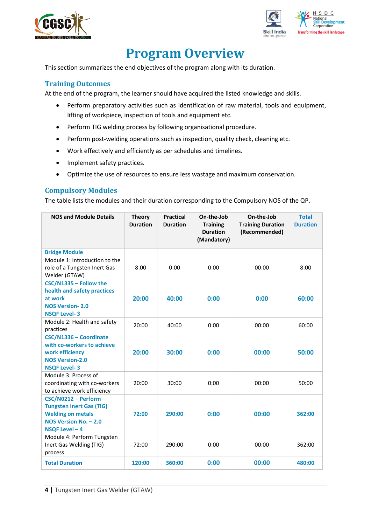



## **Program Overview**

<span id="page-3-0"></span>This section summarizes the end objectives of the program along with its duration.

#### <span id="page-3-1"></span>**Training Outcomes**

<span id="page-3-2"></span>At the end of the program, the learner should have acquired the listed knowledge and skills.

- Perform preparatory activities such as identification of raw material, tools and equipment, lifting of workpiece, inspection of tools and equipment etc.
- Perform TIG welding process by following organisational procedure.
- Perform post-welding operations such as inspection, quality check, cleaning etc.
- Work effectively and efficiently as per schedules and timelines.
- Implement safety practices.
- Optimize the use of resources to ensure less wastage and maximum conservation.

#### **Compulsory Modules**

The table lists the modules and their duration corresponding to the Compulsory NOS of the QP.

| <b>NOS and Module Details</b>                                                                                                 | <b>Theory</b><br><b>Duration</b> | <b>Practical</b><br><b>Duration</b> | On-the-Job<br><b>Training</b><br><b>Duration</b><br>(Mandatory) | On-the-Job<br><b>Training Duration</b><br>(Recommended) | <b>Total</b><br><b>Duration</b> |
|-------------------------------------------------------------------------------------------------------------------------------|----------------------------------|-------------------------------------|-----------------------------------------------------------------|---------------------------------------------------------|---------------------------------|
| <b>Bridge Module</b>                                                                                                          |                                  |                                     |                                                                 |                                                         |                                 |
| Module 1: Introduction to the<br>role of a Tungsten Inert Gas<br>Welder (GTAW)                                                | 8:00                             | 0:00                                | 0:00                                                            | 00:00                                                   | 8:00                            |
| CSC/N1335 - Follow the<br>health and safety practices<br>at work<br><b>NOS Version-2.0</b><br><b>NSQF Level-3</b>             | 20:00                            | 40:00                               | 0:00                                                            | 0:00                                                    | 60:00                           |
| Module 2: Health and safety<br>practices                                                                                      | 20:00                            | 40:00                               | 0:00                                                            | 00:00                                                   | 60:00                           |
| CSC/N1336 - Coordinate<br>with co-workers to achieve<br>work efficiency<br><b>NOS Version-2.0</b><br><b>NSQF Level-3</b>      | 20:00                            | 30:00                               | 0:00                                                            | 00:00                                                   | 50:00                           |
| Module 3: Process of<br>coordinating with co-workers<br>to achieve work efficiency                                            | 20:00                            | 30:00                               | 0:00                                                            | 00:00                                                   | 50:00                           |
| CSC/N0212 - Perform<br><b>Tungsten Inert Gas (TIG)</b><br><b>Welding on metals</b><br>NOS Version No. - 2.0<br>NSQF Level - 4 | 72:00                            | 290:00                              | 0:00                                                            | 00:00                                                   | 362:00                          |
| Module 4: Perform Tungsten<br>Inert Gas Welding (TIG)<br>process                                                              | 72:00                            | 290:00                              | 0:00                                                            | 00:00                                                   | 362:00                          |
| <b>Total Duration</b>                                                                                                         | 120:00                           | 360:00                              | 0:00                                                            | 00:00                                                   | 480:00                          |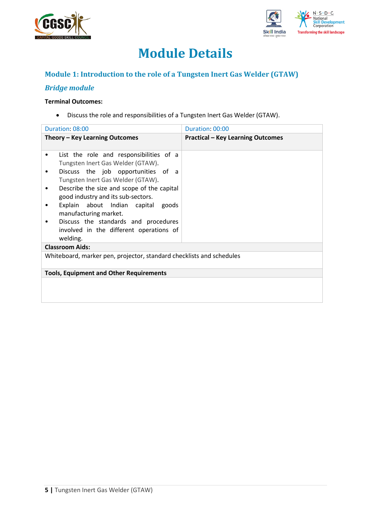



## **Module Details**

### **Module 1: Introduction to the role of a Tungsten Inert Gas Welder (GTAW)**

### *Bridge module*

#### **Terminal Outcomes:**

• Discuss the role and responsibilities of a Tungsten Inert Gas Welder (GTAW).

| Duration: 08:00                                                                                                                                                                                                                                                                                                                                                                                           | Duration: 00:00                          |
|-----------------------------------------------------------------------------------------------------------------------------------------------------------------------------------------------------------------------------------------------------------------------------------------------------------------------------------------------------------------------------------------------------------|------------------------------------------|
| Theory – Key Learning Outcomes                                                                                                                                                                                                                                                                                                                                                                            | <b>Practical - Key Learning Outcomes</b> |
| List the role and responsibilities of a<br>Tungsten Inert Gas Welder (GTAW).<br>Discuss the job opportunities of a<br>Tungsten Inert Gas Welder (GTAW).<br>Describe the size and scope of the capital<br>good industry and its sub-sectors.<br>Explain about Indian capital goods<br>manufacturing market.<br>Discuss the standards and procedures<br>involved in the different operations of<br>welding. |                                          |
| <b>Classroom Aids:</b>                                                                                                                                                                                                                                                                                                                                                                                    |                                          |
| Whiteboard, marker pen, projector, standard checklists and schedules                                                                                                                                                                                                                                                                                                                                      |                                          |
| <b>Tools, Equipment and Other Requirements</b>                                                                                                                                                                                                                                                                                                                                                            |                                          |
|                                                                                                                                                                                                                                                                                                                                                                                                           |                                          |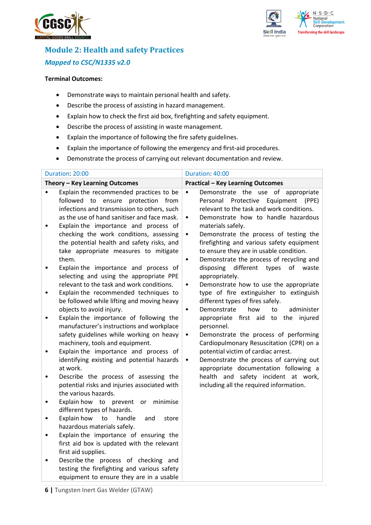



## **Module 2: Health and safety Practices** *Mapped to CSC/N1335 v2.0*

#### **Terminal Outcomes:**

- Demonstrate ways to maintain personal health and safety.
- Describe the process of assisting in hazard management.
- Explain how to check the first aid box, firefighting and safety equipment.
- Describe the process of assisting in waste management.
- Explain the importance of following the fire safety guidelines.
- Explain the importance of following the emergency and first-aid procedures.
- Demonstrate the process of carrying out relevant documentation and review.

| Duration: 20:00                                                                                                                                                                                                                                                                                                                                                                                                                                                                                                                                                                                                                                                                                                                                                                                                                                                                                                                                                                                                                                                                                                                                                                                                                                                                                                                                                                                                                                                                                                                                             | Duration: 40:00                                                                                                                                                                                                                                                                                                                                                                                                                                                                                                                                                                                                                                                                                                                                                                                                                                                                                                                                                                                                                                                   |
|-------------------------------------------------------------------------------------------------------------------------------------------------------------------------------------------------------------------------------------------------------------------------------------------------------------------------------------------------------------------------------------------------------------------------------------------------------------------------------------------------------------------------------------------------------------------------------------------------------------------------------------------------------------------------------------------------------------------------------------------------------------------------------------------------------------------------------------------------------------------------------------------------------------------------------------------------------------------------------------------------------------------------------------------------------------------------------------------------------------------------------------------------------------------------------------------------------------------------------------------------------------------------------------------------------------------------------------------------------------------------------------------------------------------------------------------------------------------------------------------------------------------------------------------------------------|-------------------------------------------------------------------------------------------------------------------------------------------------------------------------------------------------------------------------------------------------------------------------------------------------------------------------------------------------------------------------------------------------------------------------------------------------------------------------------------------------------------------------------------------------------------------------------------------------------------------------------------------------------------------------------------------------------------------------------------------------------------------------------------------------------------------------------------------------------------------------------------------------------------------------------------------------------------------------------------------------------------------------------------------------------------------|
| Theory - Key Learning Outcomes                                                                                                                                                                                                                                                                                                                                                                                                                                                                                                                                                                                                                                                                                                                                                                                                                                                                                                                                                                                                                                                                                                                                                                                                                                                                                                                                                                                                                                                                                                                              | <b>Practical - Key Learning Outcomes</b>                                                                                                                                                                                                                                                                                                                                                                                                                                                                                                                                                                                                                                                                                                                                                                                                                                                                                                                                                                                                                          |
| Explain the recommended practices to be<br>$\bullet$<br>ensure protection from<br>followed to<br>infections and transmission to others, such<br>as the use of hand sanitiser and face mask.<br>Explain the importance and process of<br>$\bullet$<br>checking the work conditions, assessing<br>the potential health and safety risks, and<br>take appropriate measures to mitigate<br>them.<br>Explain the importance and process of<br>$\bullet$<br>selecting and using the appropriate PPE<br>relevant to the task and work conditions.<br>Explain the recommended techniques to<br>$\bullet$<br>be followed while lifting and moving heavy<br>objects to avoid injury.<br>Explain the importance of following the<br>٠<br>manufacturer's instructions and workplace<br>safety guidelines while working on heavy<br>machinery, tools and equipment.<br>Explain the importance and process of<br>٠<br>identifying existing and potential hazards<br>at work.<br>Describe the process of assessing the<br>$\bullet$<br>potential risks and injuries associated with<br>the various hazards.<br>Explain how to prevent<br>or<br>minimise<br>$\bullet$<br>different types of hazards.<br>Explain how<br>handle<br>to<br>and<br>store<br>$\bullet$<br>hazardous materials safely.<br>Explain the importance of ensuring the<br>$\bullet$<br>first aid box is updated with the relevant<br>first aid supplies.<br>Describe the process of checking and<br>$\bullet$<br>testing the firefighting and various safety<br>equipment to ensure they are in a usable | Demonstrate the use of appropriate<br>$\bullet$<br>Personal<br>Protective<br>Equipment<br>(PPE)<br>relevant to the task and work conditions.<br>Demonstrate how to handle hazardous<br>$\bullet$<br>materials safely.<br>Demonstrate the process of testing the<br>$\bullet$<br>firefighting and various safety equipment<br>to ensure they are in usable condition.<br>Demonstrate the process of recycling and<br>different<br>disposing<br>types<br>of<br>waste<br>appropriately.<br>Demonstrate how to use the appropriate<br>$\bullet$<br>type of fire extinguisher to extinguish<br>different types of fires safely.<br>Demonstrate<br>how<br>administer<br>to<br>$\bullet$<br>appropriate<br>first aid to the<br>injured<br>personnel.<br>Demonstrate the process of performing<br>$\bullet$<br>Cardiopulmonary Resuscitation (CPR) on a<br>potential victim of cardiac arrest.<br>Demonstrate the process of carrying out<br>٠<br>appropriate documentation following a<br>health and safety incident at work,<br>including all the required information. |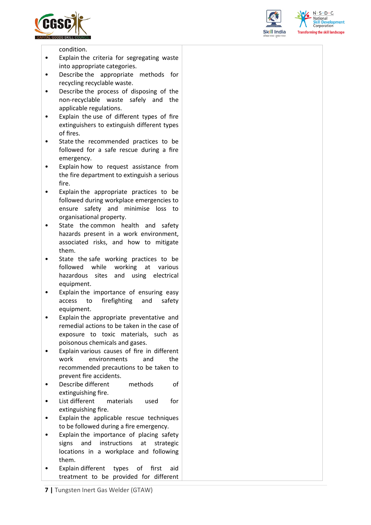





condition.

- Explain the criteria for segregating waste into appropriate categories.
- Describe the appropriate methods for recycling recyclable waste.
- Describe the process of disposing of the non-recyclable waste safely and the applicable regulations.
- Explain the use of different types of fire extinguishers to extinguish different types of fires.
- State the recommended practices to be followed for a safe rescue during a fire emergency.
- Explain how to request assistance from the fire department to extinguish a serious fire.
- Explain the appropriate practices to be followed during workplace emergencies to ensure safety and minimise loss to organisational property.
- State the common health and safety hazards present in a work environment, associated risks, and how to mitigate them.
- State the safe working practices to be followed while working at various hazardous sites and using electrical equipment.
- Explain the importance of ensuring easy access to firefighting and safety equipment.
- Explain the appropriate preventative and remedial actions to be taken in the case of exposure to toxic materials, such as poisonous chemicals and gases.
- Explain various causes of fire in different work environments and the recommended precautions to be taken to prevent fire accidents.
- Describe different methods of extinguishing fire.
- List different materials used for extinguishing fire.
- Explain the applicable rescue techniques to be followed during a fire emergency.
- Explain the importance of placing safety signs and instructions at strategic locations in a workplace and following them.
- Explain different types of first aid treatment to be provided for different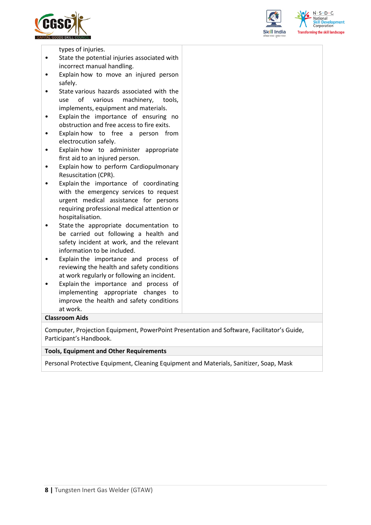





types of injuries.

- State the potential injuries associated with incorrect manual handling.
- Explain how to move an injured person safely.
- State various hazards associated with the use of various machinery, tools, implements, equipment and materials.
- Explain the importance of ensuring no obstruction and free access to fire exits.
- Explain how to free a person from electrocution safely.
- Explain how to administer appropriate first aid to an injured person.
- Explain how to perform Cardiopulmonary Resuscitation (CPR).
- Explain the importance of coordinating with the emergency services to request urgent medical assistance for persons requiring professional medical attention or hospitalisation.
- State the appropriate documentation to be carried out following a health and safety incident at work, and the relevant information to be included.
- Explain the importance and process of reviewing the health and safety conditions at work regularly or following an incident.
- Explain the importance and process of implementing appropriate changes to improve the health and safety conditions at work.

#### **Classroom Aids**

Computer, Projection Equipment, PowerPoint Presentation and Software, Facilitator's Guide, Participant's Handbook.

#### **Tools, Equipment and Other Requirements**

Personal Protective Equipment, Cleaning Equipment and Materials, Sanitizer, Soap, Mask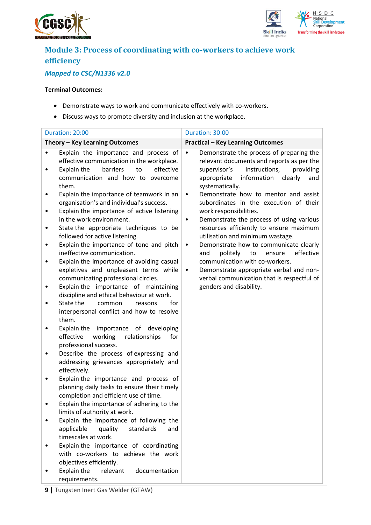



## **Module 3: Process of coordinating with co-workers to achieve work efficiency**

## *Mapped to CSC/N1336 v2.0*

#### **Terminal Outcomes:**

- Demonstrate ways to work and communicate effectively with co-workers.
- Discuss ways to promote diversity and inclusion at the workplace.

|             | Duration: 20:00                                                                                                                                                                                                                                                                                                                                                                                                                      | Duration: 30:00                                                                                                                                                                                                                                                                                              |
|-------------|--------------------------------------------------------------------------------------------------------------------------------------------------------------------------------------------------------------------------------------------------------------------------------------------------------------------------------------------------------------------------------------------------------------------------------------|--------------------------------------------------------------------------------------------------------------------------------------------------------------------------------------------------------------------------------------------------------------------------------------------------------------|
|             | Theory - Key Learning Outcomes                                                                                                                                                                                                                                                                                                                                                                                                       | <b>Practical - Key Learning Outcomes</b>                                                                                                                                                                                                                                                                     |
|             | Explain the importance and process of<br>effective communication in the workplace.<br>to<br>effective<br>Explain the<br>barriers<br>communication and how to overcome<br>them.                                                                                                                                                                                                                                                       | Demonstrate the process of preparing the<br>$\bullet$<br>relevant documents and reports as per the<br>instructions,<br>providing<br>supervisor's<br>information<br>appropriate<br>clearly<br>and<br>systematically.                                                                                          |
| ٠<br>٠<br>٠ | Explain the importance of teamwork in an<br>organisation's and individual's success.<br>Explain the importance of active listening<br>in the work environment.<br>State the appropriate techniques to be<br>followed for active listening.<br>Explain the importance of tone and pitch                                                                                                                                               | Demonstrate how to mentor and assist<br>$\bullet$<br>subordinates in the execution of their<br>work responsibilities.<br>Demonstrate the process of using various<br>٠<br>resources efficiently to ensure maximum<br>utilisation and minimum wastage.<br>Demonstrate how to communicate clearly<br>$\bullet$ |
|             | ineffective communication.<br>Explain the importance of avoiding casual<br>expletives and unpleasant terms while<br>communicating professional circles.<br>Explain the importance of maintaining<br>discipline and ethical behaviour at work.<br>State the<br>for<br>common<br>reasons<br>interpersonal conflict and how to resolve<br>them.<br>Explain the importance of developing<br>effective<br>working<br>relationships<br>for | politely<br>to<br>ensure<br>effective<br>and<br>communication with co-workers.<br>Demonstrate appropriate verbal and non-<br>$\bullet$<br>verbal communication that is respectful of<br>genders and disability.                                                                                              |
| ٠           | professional success.<br>Describe the process of expressing and<br>addressing grievances appropriately and<br>effectively.                                                                                                                                                                                                                                                                                                           |                                                                                                                                                                                                                                                                                                              |
|             | Explain the importance and process of<br>planning daily tasks to ensure their timely<br>completion and efficient use of time.                                                                                                                                                                                                                                                                                                        |                                                                                                                                                                                                                                                                                                              |
|             | Explain the importance of adhering to the<br>limits of authority at work.                                                                                                                                                                                                                                                                                                                                                            |                                                                                                                                                                                                                                                                                                              |
|             | Explain the importance of following the<br>applicable<br>quality<br>standards<br>and<br>timescales at work.<br>Explain the importance of coordinating<br>with co-workers to achieve the work                                                                                                                                                                                                                                         |                                                                                                                                                                                                                                                                                                              |
|             | objectives efficiently.<br>Explain the<br>relevant<br>documentation<br>requirements.                                                                                                                                                                                                                                                                                                                                                 |                                                                                                                                                                                                                                                                                                              |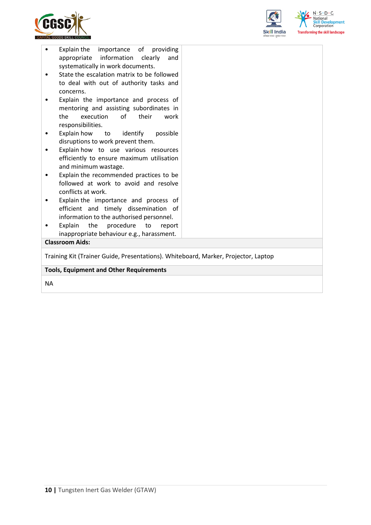



| Explain the importance of providing<br>٠<br>appropriate information clearly<br>and<br>systematically in work documents.<br>State the escalation matrix to be followed<br>to deal with out of authority tasks and<br>concerns.<br>Explain the importance and process of<br>mentoring and assisting subordinates in<br>execution<br>of<br>their<br>the<br>work<br>responsibilities.<br>Explain how to identify<br>possible<br>disruptions to work prevent them.<br>Explain how to use various resources |  |  |  |  |
|-------------------------------------------------------------------------------------------------------------------------------------------------------------------------------------------------------------------------------------------------------------------------------------------------------------------------------------------------------------------------------------------------------------------------------------------------------------------------------------------------------|--|--|--|--|
|                                                                                                                                                                                                                                                                                                                                                                                                                                                                                                       |  |  |  |  |
| efficiently to ensure maximum utilisation<br>and minimum wastage.                                                                                                                                                                                                                                                                                                                                                                                                                                     |  |  |  |  |
| Explain the recommended practices to be<br>followed at work to avoid and resolve<br>conflicts at work.                                                                                                                                                                                                                                                                                                                                                                                                |  |  |  |  |
| Explain the importance and process of<br>٠<br>efficient and timely dissemination of<br>information to the authorised personnel.                                                                                                                                                                                                                                                                                                                                                                       |  |  |  |  |
| the<br>procedure<br>Explain<br>to<br>report<br>inappropriate behaviour e.g., harassment.                                                                                                                                                                                                                                                                                                                                                                                                              |  |  |  |  |
| <b>Classroom Aids:</b>                                                                                                                                                                                                                                                                                                                                                                                                                                                                                |  |  |  |  |
| Training Kit (Trainer Guide, Presentations). Whiteboard, Marker, Projector, Laptop                                                                                                                                                                                                                                                                                                                                                                                                                    |  |  |  |  |
| <b>Tools, Equipment and Other Requirements</b>                                                                                                                                                                                                                                                                                                                                                                                                                                                        |  |  |  |  |
|                                                                                                                                                                                                                                                                                                                                                                                                                                                                                                       |  |  |  |  |

NA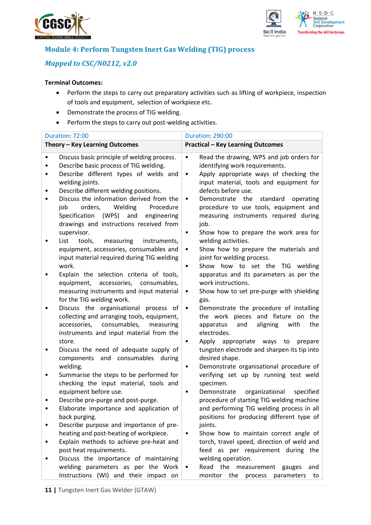



### **Module 4: Perform Tungsten Inert Gas Welding (TIG) process**

### *Mapped to CSC/N0212, v2.0*

#### **Terminal Outcomes:**

- Perform the steps to carry out preparatory activities such as lifting of workpiece, inspection of tools and equipment, selection of workpiece etc.
- Demonstrate the process of TIG welding.
- Perform the steps to carry out post-welding activities.

|   | Duration: 72:00                                                                         | <b>Duration: 290:00</b>                                                                              |
|---|-----------------------------------------------------------------------------------------|------------------------------------------------------------------------------------------------------|
|   | Theory - Key Learning Outcomes                                                          | <b>Practical - Key Learning Outcomes</b>                                                             |
|   | Discuss basic principle of welding process.<br>Describe basic process of TIG welding.   | Read the drawing, WPS and job orders for<br>$\bullet$<br>identifying work requirements.              |
| ٠ | Describe different types of welds and                                                   | Apply appropriate ways of checking the<br>$\bullet$                                                  |
|   | welding joints.                                                                         | input material, tools and equipment for                                                              |
|   | Describe different welding positions.<br>Discuss the information derived from the       | defects before use.<br>Demonstrate the<br>standard<br>operating<br>$\bullet$                         |
|   | orders,<br>Welding<br>Procedure<br>job                                                  | procedure to use tools, equipment and                                                                |
|   | Specification (WPS) and<br>engineering                                                  | measuring instruments required during                                                                |
|   | drawings and instructions received from                                                 | job.                                                                                                 |
|   | supervisor.<br>List<br>measuring<br>tools,<br>instruments,                              | Show how to prepare the work area for<br>$\bullet$<br>welding activities.                            |
|   | equipment, accessories, consumables and                                                 | Show how to prepare the materials and<br>٠                                                           |
|   | input material required during TIG welding                                              | joint for welding process.                                                                           |
|   | work.                                                                                   | Show how to set the TIG welding<br>$\bullet$                                                         |
|   | Explain the selection criteria of tools,<br>equipment, accessories, consumables,        | apparatus and its parameters as per the<br>work instructions.                                        |
|   | measuring instruments and input material                                                | Show how to set pre-purge with shielding<br>$\bullet$                                                |
|   | for the TIG welding work.                                                               | gas.                                                                                                 |
|   | Discuss the organisational process of                                                   | Demonstrate the procedure of installing<br>$\bullet$                                                 |
|   | collecting and arranging tools, equipment,<br>consumables,<br>accessories,<br>measuring | the work pieces and fixture on the<br>apparatus<br>aligning<br>the<br>and<br>with                    |
|   | instruments and input material from the                                                 | electrodes.                                                                                          |
|   | store.                                                                                  | Apply appropriate ways to<br>prepare<br>$\bullet$                                                    |
|   | Discuss the need of adequate supply of                                                  | tungsten electrode and sharpen its tip into                                                          |
|   | components and consumables<br>during<br>welding.                                        | desired shape.<br>Demonstrate organisational procedure of<br>$\bullet$                               |
|   | Summarise the steps to be performed for                                                 | verifying set up by running test weld                                                                |
|   | checking the input material, tools and                                                  | specimen.                                                                                            |
|   | equipment before use.                                                                   | Demonstrate<br>organizational<br>specified<br>$\bullet$<br>procedure of starting TIG welding machine |
|   | Describe pre-purge and post-purge.<br>Elaborate importance and application of           | and performing TIG welding process in all                                                            |
|   | back purging.                                                                           | positions for producing different type of                                                            |
|   | Describe purpose and importance of pre-                                                 | joints.                                                                                              |
|   | heating and post-heating of workpiece.                                                  | Show how to maintain correct angle of<br>$\bullet$                                                   |
|   | Explain methods to achieve pre-heat and<br>post heat requirements.                      | torch, travel speed, direction of weld and<br>feed as per requirement during the                     |
|   | Discuss the importance of maintaining                                                   | welding operation.                                                                                   |
|   | welding parameters as per the Work                                                      | Read the measurement<br>gauges<br>and<br>٠                                                           |
|   | Instructions (WI) and their impact on                                                   | monitor the<br>process<br>parameters<br>to                                                           |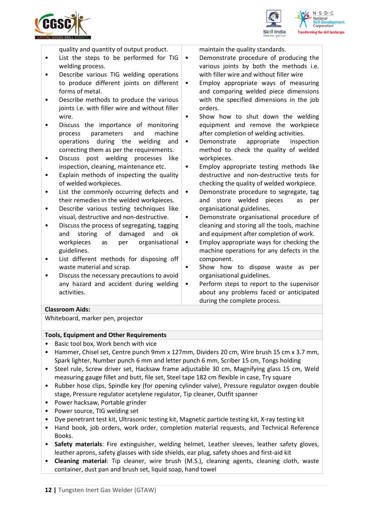





quality and quantity of output product.

- List the steps to be performed for TIG welding process.
- Describe various TIG welding operations to produce different joints on different forms of metal.
- Describe methods to produce the various joints i.e. with filler wire and without filler wire.
- Discuss the importance of monitoring process parameters and machine operations during the welding and correcting them as per the requirements.
- Discuss post welding processes like inspection, cleaning, maintenance etc.
- Explain methods of inspecting the quality of welded workpieces.
- List the commonly occurring defects and their remedies in the welded workpieces.
- Describe various testing techniques like visual, destructive and non-destructive.
- Discuss the process of segregating, tagging and storing of damaged and ok workpieces as per organisational guidelines.
- List different methods for disposing off waste material and scrap.
- Discuss the necessary precautions to avoid any hazard and accident during welding activities.
- maintain the quality standards.
- Demonstrate procedure of producing the various joints by both the methods i.e. with filler wire and without filler wire
- Employ appropriate ways of measuring and comparing welded piece dimensions with the specified dimensions in the job orders.
- Show how to shut down the welding equipment and remove the workpiece after completion of welding activities.
- Demonstrate appropriate inspection method to check the quality of welded workpieces.
- Employ appropriate testing methods like destructive and non-destructive tests for checking the quality of welded workpiece.
- Demonstrate procedure to segregate, tag and store welded pieces as per organisational guidelines.
- Demonstrate organisational procedure of cleaning and storing all the tools, machine and equipment after completion of work.
- Employ appropriate ways for checking the machine operations for any defects in the component.
- Show how to dispose waste as per organisational guidelines.
- Perform steps to report to the supervisor about any problems faced or anticipated during the complete process.

#### **Classroom Aids:**

Whiteboard, marker pen, projector

#### **Tools, Equipment and Other Requirements**

- Basic tool box, Work bench with vice
- Hammer, Chisel set, Centre punch 9mm x 127mm, Dividers 20 cm, Wire brush 15 cm x 3.7 mm, Spark lighter, Number punch 6 mm and letter punch 6 mm, Scriber 15 cm, Tongs holding
- Steel rule, Screw driver set, Hacksaw frame adjustable 30 cm, Magnifying glass 15 cm, Weld measuring gauge fillet and butt, file set, Steel tape 182 cm flexible in case, Try square
- Rubber hose clips, Spindle key (for opening cylinder valve), Pressure regulator oxygen double stage, Pressure regulator acetylene regulator, Tip cleaner, Outfit spanner
- Power hacksaw, Portable grinder
- Power source, TIG welding set
- Dye penetrant test kit, Ultrasonic testing kit, Magnetic particle testing kit, X-ray testing kit
- Hand book, job orders, work order, completion material requests, and Technical Reference Books.
- **Safety materials**: Fire extinguisher, welding helmet, Leather sleeves, leather safety gloves, leather aprons, safety glasses with side shields, ear plug, safety shoes and first-aid kit
- **Cleaning material**: Tip cleaner, wire brush (M.S.), cleaning agents, cleaning cloth, waste container, dust pan and brush set, liquid soap, hand towel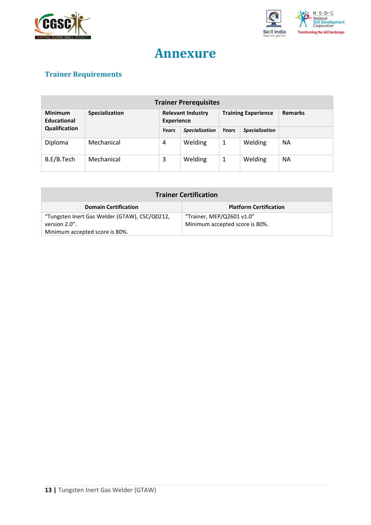



## **Annexure**

## <span id="page-12-0"></span>**Trainer Requirements**

| <b>Trainer Prerequisites</b>  |                |                                               |                       |              |                            |                |
|-------------------------------|----------------|-----------------------------------------------|-----------------------|--------------|----------------------------|----------------|
| <b>Minimum</b><br>Educational | Specialization | <b>Relevant Industry</b><br><b>Experience</b> |                       |              | <b>Training Experience</b> | <b>Remarks</b> |
| Qualification                 |                | Years                                         | <b>Specialization</b> | <b>Years</b> | <b>Specialization</b>      |                |
| Diploma                       | Mechanical     | 4                                             | Welding               | 1            | Welding                    | <b>NA</b>      |
| B.E/B.Tech                    | Mechanical     | 3                                             | Welding               | 1            | Welding                    | <b>NA</b>      |

| <b>Trainer Certification</b>                  |                                |  |  |
|-----------------------------------------------|--------------------------------|--|--|
| <b>Domain Certification</b>                   | <b>Platform Certification</b>  |  |  |
| "Tungsten Inert Gas Welder (GTAW), CSC/Q0212, | "Trainer, MEP/Q2601 v1.0"      |  |  |
| version 2.0".                                 | Minimum accepted score is 80%. |  |  |
| Minimum accepted score is 80%.                |                                |  |  |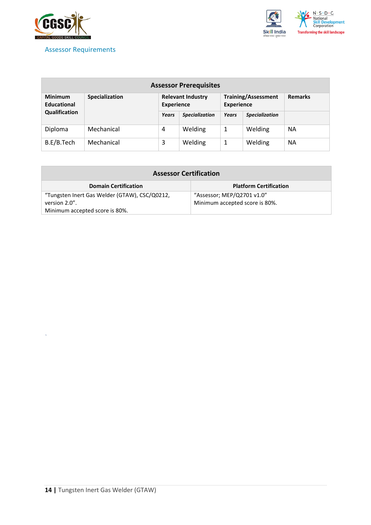

*`*

<span id="page-13-0"></span>



| <b>Assessor Prerequisites</b>        |                |                                               |                       |                   |                            |                |
|--------------------------------------|----------------|-----------------------------------------------|-----------------------|-------------------|----------------------------|----------------|
| <b>Minimum</b><br><b>Educational</b> | Specialization | <b>Relevant Industry</b><br><b>Experience</b> |                       | <b>Experience</b> | <b>Training/Assessment</b> | <b>Remarks</b> |
| Qualification                        |                | Years                                         | <b>Specialization</b> | Years             | <b>Specialization</b>      |                |
| Diploma                              | Mechanical     | 4                                             | Welding               | 1                 | Welding                    | <b>NA</b>      |
| B.E/B.Tech                           | Mechanical     | 3                                             | Welding               | 1                 | Welding                    | <b>NA</b>      |

| <b>Assessor Certification</b>                 |                                |  |  |  |
|-----------------------------------------------|--------------------------------|--|--|--|
| <b>Domain Certification</b>                   | <b>Platform Certification</b>  |  |  |  |
| "Tungsten Inert Gas Welder (GTAW), CSC/Q0212, | "Assessor; MEP/Q2701 v1.0"     |  |  |  |
| version 2.0".                                 | Minimum accepted score is 80%. |  |  |  |
| Minimum accepted score is 80%.                |                                |  |  |  |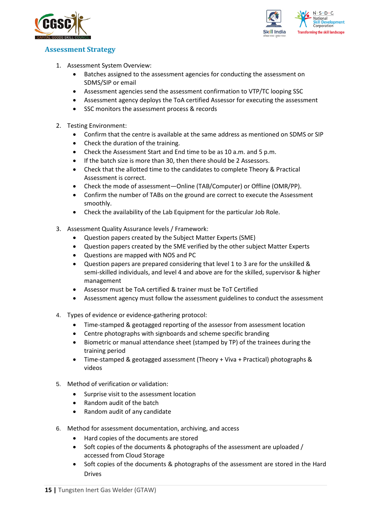



#### <span id="page-14-0"></span>**Assessment Strategy**

- 1. Assessment System Overview:
	- Batches assigned to the assessment agencies for conducting the assessment on SDMS/SIP or email
	- Assessment agencies send the assessment confirmation to VTP/TC looping SSC
	- Assessment agency deploys the ToA certified Assessor for executing the assessment
	- SSC monitors the assessment process & records
- 2. Testing Environment:
	- Confirm that the centre is available at the same address as mentioned on SDMS or SIP
	- Check the duration of the training.
	- Check the Assessment Start and End time to be as 10 a.m. and 5 p.m.
	- If the batch size is more than 30, then there should be 2 Assessors.
	- Check that the allotted time to the candidates to complete Theory & Practical Assessment is correct.
	- Check the mode of assessment—Online (TAB/Computer) or Offline (OMR/PP).
	- Confirm the number of TABs on the ground are correct to execute the Assessment smoothly.
	- Check the availability of the Lab Equipment for the particular Job Role.
- 3. Assessment Quality Assurance levels / Framework:
	- Question papers created by the Subject Matter Experts (SME)
	- Question papers created by the SME verified by the other subject Matter Experts
	- Questions are mapped with NOS and PC
	- Question papers are prepared considering that level 1 to 3 are for the unskilled & semi-skilled individuals, and level 4 and above are for the skilled, supervisor & higher management
	- Assessor must be ToA certified & trainer must be ToT Certified
	- Assessment agency must follow the assessment guidelines to conduct the assessment
- 4. Types of evidence or evidence-gathering protocol:
	- Time-stamped & geotagged reporting of the assessor from assessment location
	- Centre photographs with signboards and scheme specific branding
	- Biometric or manual attendance sheet (stamped by TP) of the trainees during the training period
	- Time-stamped & geotagged assessment (Theory + Viva + Practical) photographs & videos
- 5. Method of verification or validation:
	- Surprise visit to the assessment location
	- Random audit of the batch
	- Random audit of any candidate
- 6. Method for assessment documentation, archiving, and access
	- Hard copies of the documents are stored
	- Soft copies of the documents & photographs of the assessment are uploaded / accessed from Cloud Storage
	- Soft copies of the documents & photographs of the assessment are stored in the Hard Drives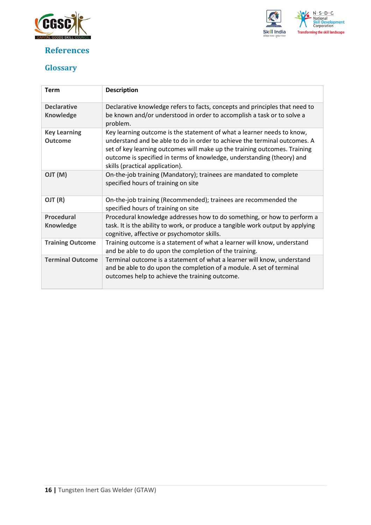

### <span id="page-15-0"></span>**References**



## <span id="page-15-1"></span>**Glossary**

| <b>Term</b>                            | <b>Description</b>                                                                                                                                                                                                                                                                                                                            |
|----------------------------------------|-----------------------------------------------------------------------------------------------------------------------------------------------------------------------------------------------------------------------------------------------------------------------------------------------------------------------------------------------|
| <b>Declarative</b><br><b>Knowledge</b> | Declarative knowledge refers to facts, concepts and principles that need to<br>be known and/or understood in order to accomplish a task or to solve a<br>problem.                                                                                                                                                                             |
| <b>Key Learning</b><br><b>Outcome</b>  | Key learning outcome is the statement of what a learner needs to know,<br>understand and be able to do in order to achieve the terminal outcomes. A<br>set of key learning outcomes will make up the training outcomes. Training<br>outcome is specified in terms of knowledge, understanding (theory) and<br>skills (practical application). |
| (M) TLO                                | On-the-job training (Mandatory); trainees are mandated to complete<br>specified hours of training on site                                                                                                                                                                                                                                     |
| OJT (R)                                | On-the-job training (Recommended); trainees are recommended the<br>specified hours of training on site                                                                                                                                                                                                                                        |
| <b>Procedural</b><br>Knowledge         | Procedural knowledge addresses how to do something, or how to perform a<br>task. It is the ability to work, or produce a tangible work output by applying<br>cognitive, affective or psychomotor skills.                                                                                                                                      |
| <b>Training Outcome</b>                | Training outcome is a statement of what a learner will know, understand<br>and be able to do upon the completion of the training.                                                                                                                                                                                                             |
| <b>Terminal Outcome</b>                | Terminal outcome is a statement of what a learner will know, understand<br>and be able to do upon the completion of a module. A set of terminal<br>outcomes help to achieve the training outcome.                                                                                                                                             |